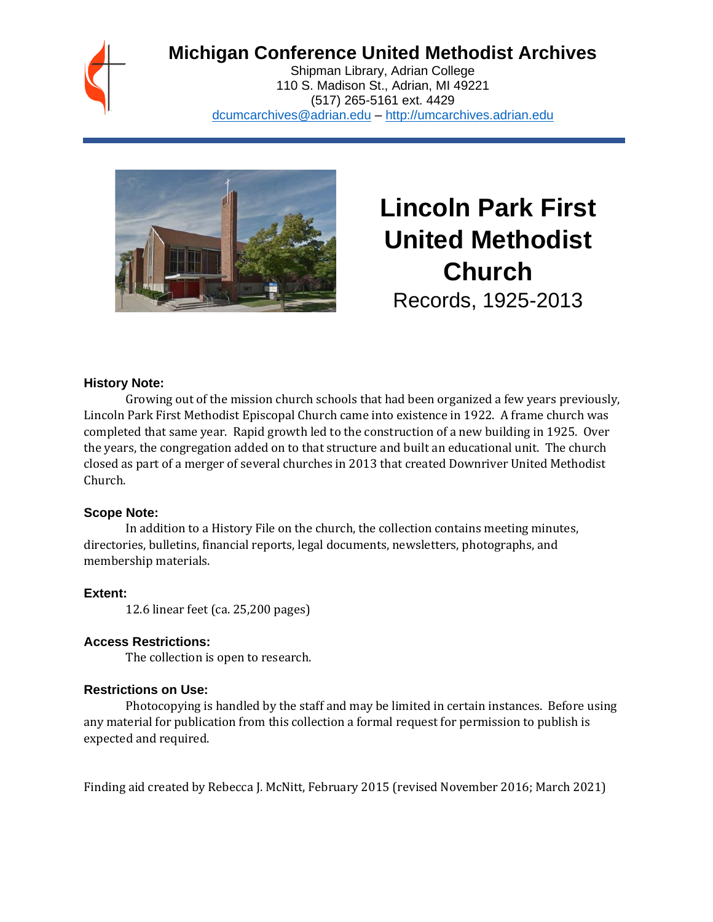# **Michigan Conference United Methodist Archives**

Shipman Library, Adrian College 110 S. Madison St., Adrian, MI 49221 (517) 265-5161 ext. 4429 [dcumcarchives@adrian.edu](mailto:dcumcarchives@adrian.edu) – [http://umcarchives.adrian.edu](http://umcarchives.adrian.edu/)



**Lincoln Park First United Methodist Church** Records, 1925-2013

#### **History Note:**

Growing out of the mission church schools that had been organized a few years previously, Lincoln Park First Methodist Episcopal Church came into existence in 1922. A frame church was completed that same year. Rapid growth led to the construction of a new building in 1925. Over the years, the congregation added on to that structure and built an educational unit. The church closed as part of a merger of several churches in 2013 that created Downriver United Methodist Church.

#### **Scope Note:**

In addition to a History File on the church, the collection contains meeting minutes, directories, bulletins, financial reports, legal documents, newsletters, photographs, and membership materials.

#### **Extent:**

12.6 linear feet (ca. 25,200 pages)

#### **Access Restrictions:**

The collection is open to research.

#### **Restrictions on Use:**

Photocopying is handled by the staff and may be limited in certain instances. Before using any material for publication from this collection a formal request for permission to publish is expected and required.

Finding aid created by Rebecca J. McNitt, February 2015 (revised November 2016; March 2021)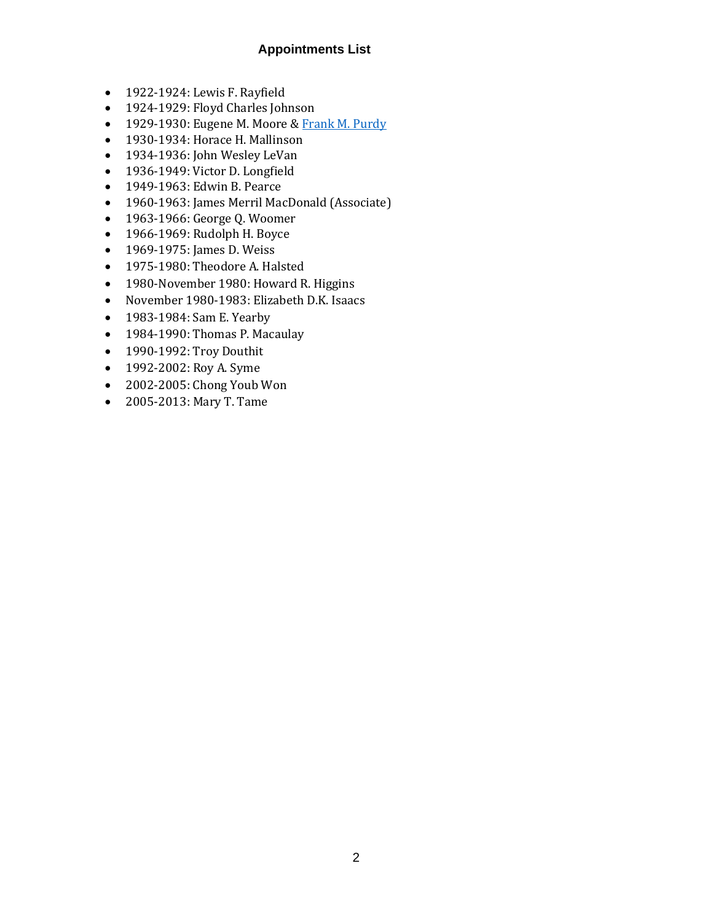#### **Appointments List**

- 1922-1924: Lewis F. Rayfield
- 1924-1929: Floyd Charles Johnson
- 1929-1930: Eugene M. Moore [& Frank M. Purdy](http://umcarchives.adrian.edu/clergy/purdyfm.php)
- 1930-1934: Horace H. Mallinson
- 1934-1936: John Wesley LeVan
- 1936-1949: Victor D. Longfield
- 1949-1963: Edwin B. Pearce
- 1960-1963: James Merril MacDonald (Associate)
- 1963-1966: George Q. Woomer
- 1966-1969: Rudolph H. Boyce
- 1969-1975: James D. Weiss
- 1975-1980: Theodore A. Halsted
- 1980-November 1980: Howard R. Higgins
- November 1980-1983: Elizabeth D.K. Isaacs
- 1983-1984: Sam E. Yearby
- 1984-1990: Thomas P. Macaulay
- 1990-1992: Troy Douthit
- 1992-2002: Roy A. Syme
- 2002-2005: Chong Youb Won
- 2005-2013: Mary T. Tame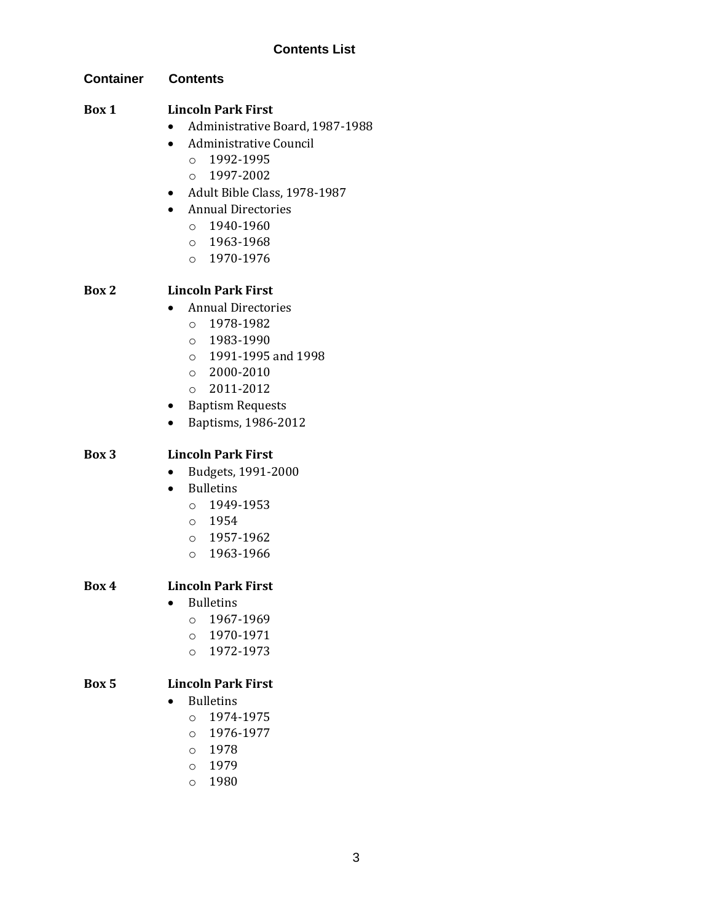| <b>Container</b> Contents |                                                                                                                                                                                                                                                                                       |
|---------------------------|---------------------------------------------------------------------------------------------------------------------------------------------------------------------------------------------------------------------------------------------------------------------------------------|
| Box 1                     | <b>Lincoln Park First</b><br>Administrative Board, 1987-1988<br>Administrative Council<br>$\bullet$<br>$0 1992 - 1995$<br>$0 1997 - 2002$<br>Adult Bible Class, 1978-1987<br>$\bullet$<br><b>Annual Directories</b><br>$\bullet$<br>$0 1940 - 1960$<br>$0 1963 - 1968$<br>0 1970-1976 |
| Box 2                     | <b>Lincoln Park First</b><br><b>Annual Directories</b><br>$0 1978 - 1982$<br>$0 1983 - 1990$<br>$0$ 1991-1995 and 1998<br>$\circ$ 2000-2010<br>$0$ 2011-2012<br><b>Baptism Requests</b><br>$\bullet$<br>Baptisms, 1986-2012<br>$\bullet$                                              |
| Box 3<br>Box 4            | <b>Lincoln Park First</b><br>Budgets, 1991-2000<br>$\bullet$<br><b>Bulletins</b><br>$\bullet$<br>$0 1949 - 1953$<br>0 1954<br>$0 1957 - 1962$<br>$0 1963 - 1966$<br><b>Lincoln Park First</b>                                                                                         |
|                           | <b>Bulletins</b><br>1967-1969<br>$\circ$<br>1970-1971<br>$\circ$<br>1972-1973<br>$\circ$                                                                                                                                                                                              |
| Box 5                     | <b>Lincoln Park First</b><br><b>Bulletins</b><br>1974-1975<br>$\circ$<br>1976-1977<br>$\circ$<br>1978<br>$\circ$<br>1979<br>$\circ$                                                                                                                                                   |

o 1980

3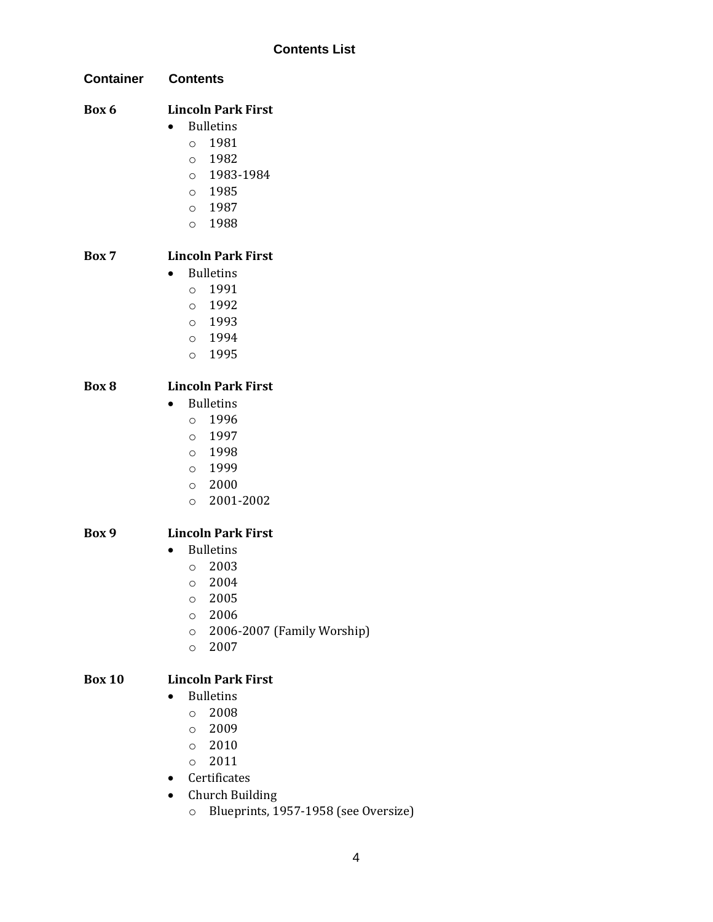| <b>Container</b> | <b>Contents</b>                       |
|------------------|---------------------------------------|
| Box 6            | <b>Lincoln Park First</b>             |
|                  | <b>Bulletins</b>                      |
|                  | 1981<br>$\circ$                       |
|                  | 0 1982                                |
|                  | 0 1983-1984                           |
|                  | 0 1985                                |
|                  | 0 1987                                |
|                  | 0 1988                                |
| Box 7            | <b>Lincoln Park First</b>             |
|                  | <b>Bulletins</b>                      |
|                  | 1991<br>$\circ$                       |
|                  | 0 1992                                |
|                  | 0 1993                                |
|                  | 0 1994                                |
|                  | 0 1995                                |
| Box 8            | <b>Lincoln Park First</b>             |
|                  | <b>Bulletins</b>                      |
|                  | 1996<br>$\circ$                       |
|                  | 0 1997                                |
|                  | 0 1998                                |
|                  | o 1999                                |
|                  | $\circ$ 2000                          |
|                  | $\circ$ 2001-2002                     |
| Box 9            | <b>Lincoln Park First</b>             |
|                  | <b>Bulletins</b>                      |
|                  | 2003<br>$\circ$                       |
|                  | 2004<br>$\circ$                       |
|                  | 2005<br>$\circ$                       |
|                  | 2006<br>$\circ$                       |
|                  | 2006-2007 (Family Worship)<br>$\circ$ |
|                  | 2007<br>$\circ$                       |
| <b>Box 10</b>    | <b>Lincoln Park First</b>             |
|                  | <b>Bulletins</b>                      |
|                  | 2008<br>$\circ$                       |
|                  | 2009<br>$\circ$                       |
|                  | 2010<br>$\circ$                       |
|                  | 2011                                  |
|                  | $\circ$<br>Certificates               |
|                  |                                       |

- Church Building
	- o Blueprints, 1957-1958 (see Oversize)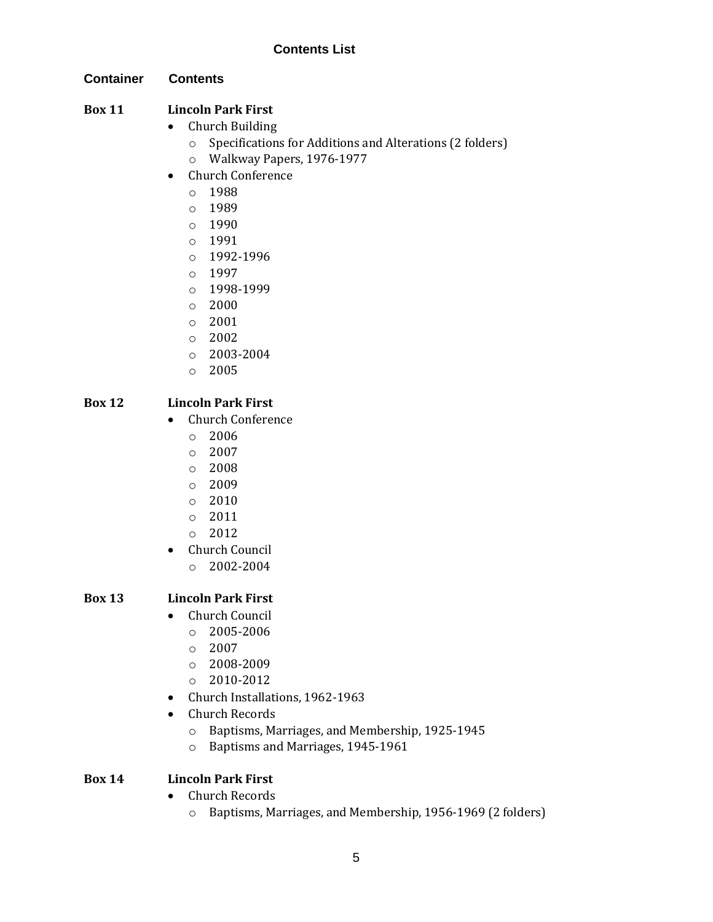#### **Container Contents**

## **Box 11 Lincoln Park First**

- Church Building
	- o Specifications for Additions and Alterations (2 folders)
	- o Walkway Papers, 1976-1977
- Church Conference
	- o 1988
	- o 1989
	- o 1990
	- o 1991
	- o 1992-1996
	- o 1997
	- o 1998-1999
	- o 2000
	- o 2001
	- o 2002
	- $O$  2003-2004
	- o 2005

#### **Box 12 Lincoln Park First**

- Church Conference
	- o 2006
	- o 2007
	- o 2008
	- o 2009
	- o 2010
	- o 2011
	- o 2012
- Church Council
	- $O$  2002-2004

#### **Box 13 Lincoln Park First**

- Church Council
	- $o$  2005-2006
	- o 2007
	- o 2008-2009
	- o 2010-2012
- Church Installations, 1962-1963
- Church Records
	- o Baptisms, Marriages, and Membership, 1925-1945
	- o Baptisms and Marriages, 1945-1961

#### **Box 14 Lincoln Park First**

- Church Records
	- o Baptisms, Marriages, and Membership, 1956-1969 (2 folders)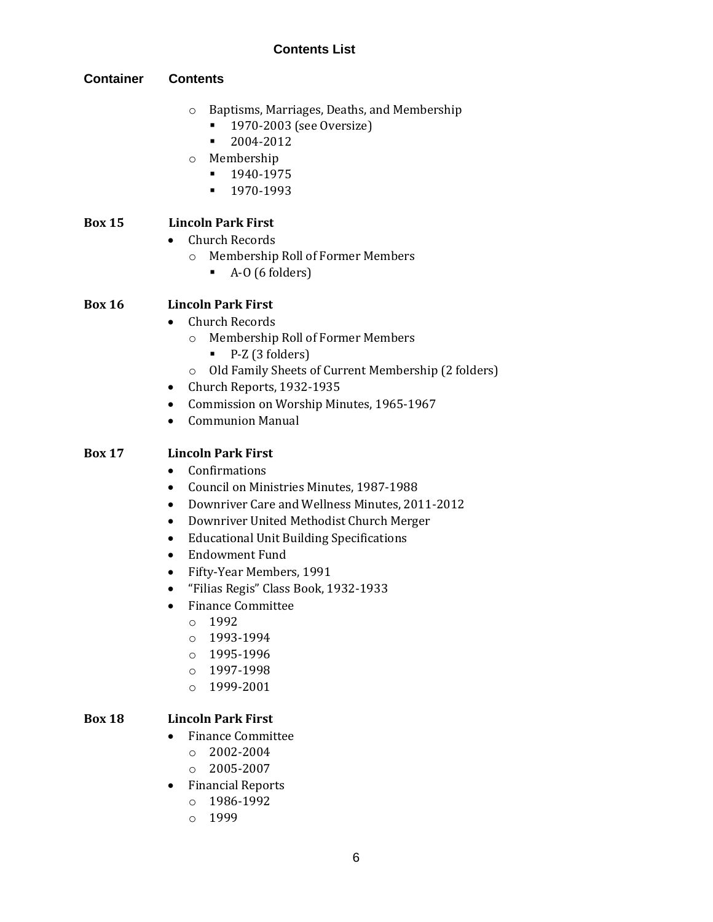| <b>Container</b> | <b>Contents</b>                                                                                                                                                                                                                                                                                                                                                                                                                                                                                                                                   |
|------------------|---------------------------------------------------------------------------------------------------------------------------------------------------------------------------------------------------------------------------------------------------------------------------------------------------------------------------------------------------------------------------------------------------------------------------------------------------------------------------------------------------------------------------------------------------|
|                  | Baptisms, Marriages, Deaths, and Membership<br>$\circ$<br>1970-2003 (see Oversize)<br>2004-2012<br>п<br>Membership<br>$\circ$<br>1940-1975<br>п<br>1970-1993<br>п                                                                                                                                                                                                                                                                                                                                                                                 |
| <b>Box 15</b>    | <b>Lincoln Park First</b><br><b>Church Records</b><br>$\bullet$<br>Membership Roll of Former Members<br>$\circ$<br>A-O (6 folders)                                                                                                                                                                                                                                                                                                                                                                                                                |
| <b>Box 16</b>    | <b>Lincoln Park First</b><br><b>Church Records</b><br>Membership Roll of Former Members<br>$\circ$<br>P-Z (3 folders)<br>٠<br>Old Family Sheets of Current Membership (2 folders)<br>$\circ$<br>Church Reports, 1932-1935<br>٠<br>Commission on Worship Minutes, 1965-1967<br><b>Communion Manual</b><br>$\bullet$                                                                                                                                                                                                                                |
| <b>Box 17</b>    | <b>Lincoln Park First</b><br>Confirmations<br>$\bullet$<br>Council on Ministries Minutes, 1987-1988<br>٠<br>Downriver Care and Wellness Minutes, 2011-2012<br>$\bullet$<br>Downriver United Methodist Church Merger<br>$\bullet$<br><b>Educational Unit Building Specifications</b><br>٠<br><b>Endowment Fund</b><br>$\bullet$<br>Fifty-Year Members, 1991<br>"Filias Regis" Class Book, 1932-1933<br><b>Finance Committee</b><br>1992<br>$\circ$<br>1993-1994<br>$\circ$<br>1995-1996<br>$\circ$<br>1997-1998<br>$\circ$<br>1999-2001<br>$\circ$ |
| <b>Box 18</b>    | <b>Lincoln Park First</b><br><b>Finance Committee</b><br>2002-2004<br>$\circ$<br>2005-2007<br>$\circ$<br><b>Financial Reports</b><br>1986-1992<br>$\circ$<br>1999<br>$\circ$                                                                                                                                                                                                                                                                                                                                                                      |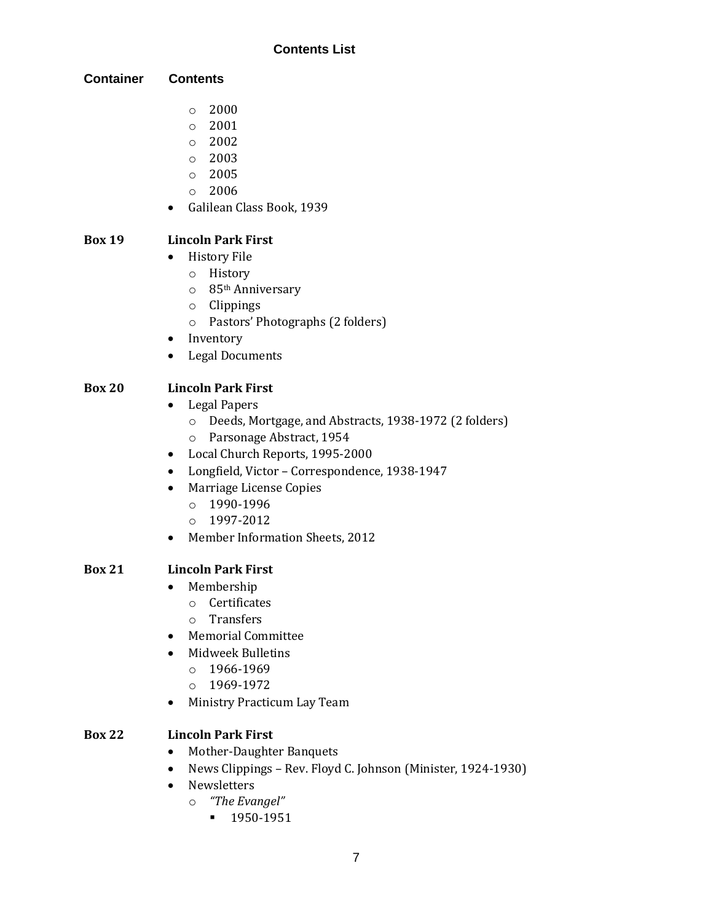**Container Contents**

- $\circ$  2000
- o 2001
- o 2002
- o 2003
- o 2005
- o 2006
- Galilean Class Book, 1939

## **Box 19 Lincoln Park First**

- History File
	- o History
	- o 85th Anniversary
	- o Clippings
	- o Pastors' Photographs (2 folders)
- Inventory
- Legal Documents

## **Box 20 Lincoln Park First**

- Legal Papers
	- o Deeds, Mortgage, and Abstracts, 1938-1972 (2 folders)
	- o Parsonage Abstract, 1954
- Local Church Reports, 1995-2000
- Longfield, Victor Correspondence, 1938-1947
- Marriage License Copies
	- o 1990-1996
	- o 1997-2012
- Member Information Sheets, 2012

## **Box 21 Lincoln Park First**

- Membership
	- o Certificates
	- o Transfers
- Memorial Committee
- Midweek Bulletins
	- o 1966-1969
	- o 1969-1972
- Ministry Practicum Lay Team

## **Box 22 Lincoln Park First**

- Mother-Daughter Banquets
- News Clippings Rev. Floyd C. Johnson (Minister, 1924-1930)
- Newsletters
	- o *"The Evangel"*
		- 1950-1951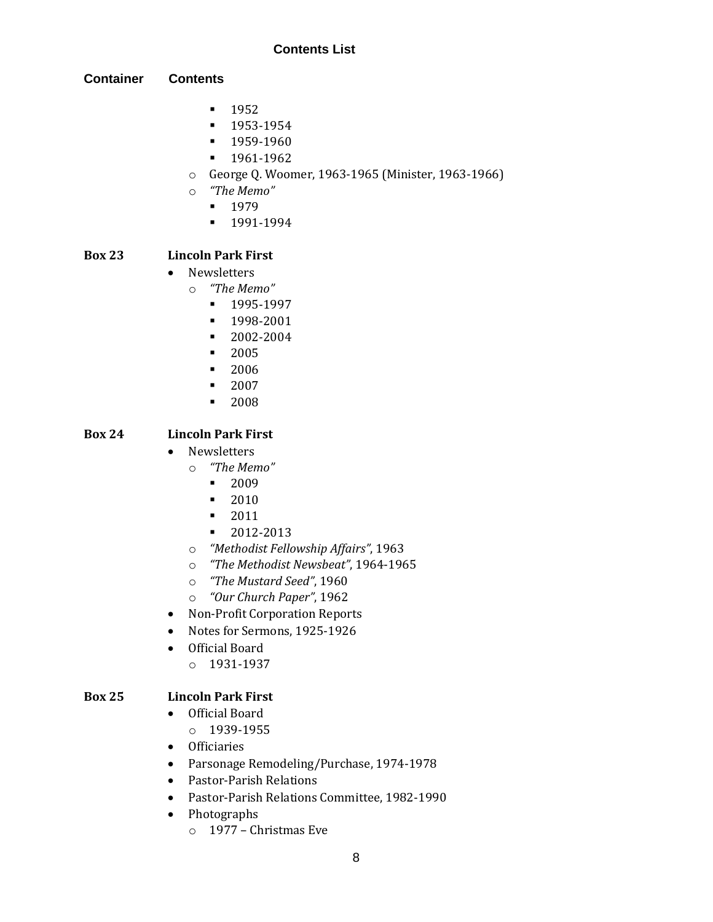**Container Contents**

- **•** 1952
- 1953-1954
- 1959-1960
- 1961-1962
- o George Q. Woomer, 1963-1965 (Minister, 1963-1966)
- o *"The Memo"*
	- 1979
	- 1991-1994

## **Box 23 Lincoln Park First**

- Newsletters
	- o *"The Memo"*
		- 1995-1997
		- 1998-2001
		- 2002-2004
		- 2005
		- 2006
		- 2007
		- 2008

#### **Box 24 Lincoln Park First**

- Newsletters
	- o *"The Memo"*
		- 2009
		- 2010
		- 2011
		- 2012-2013
	- o *"Methodist Fellowship Affairs"*, 1963
	- o *"The Methodist Newsbeat"*, 1964-1965
	- o *"The Mustard Seed"*, 1960
	- o *"Our Church Paper"*, 1962
- Non-Profit Corporation Reports
- Notes for Sermons, 1925-1926
- Official Board
	- o 1931-1937

#### **Box 25 Lincoln Park First**

- Official Board o 1939-1955
- Officiaries
- Parsonage Remodeling/Purchase, 1974-1978
- Pastor-Parish Relations
- Pastor-Parish Relations Committee, 1982-1990
- Photographs
	- o 1977 Christmas Eve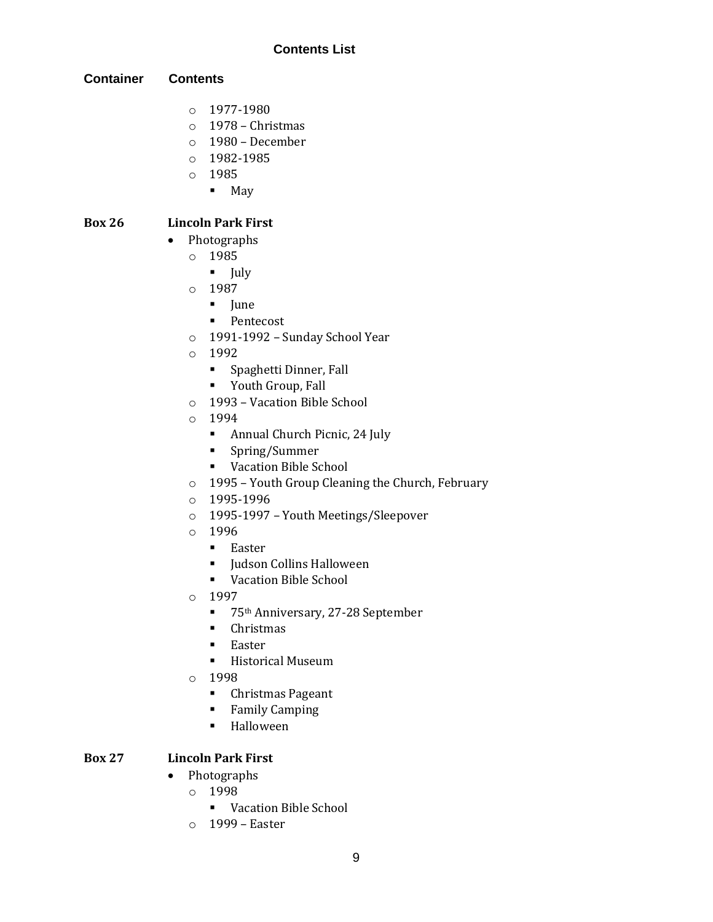#### **Container Contents**

- o 1977-1980
- o 1978 Christmas
- o 1980 December
- o 1982-1985
- o 1985
	- May

#### **Box 26 Lincoln Park First**

- Photographs
	- o 1985
		- July
	- o 1987
		- June
		- Pentecost
	- o 1991-1992 Sunday School Year
	- o 1992
		- Spaghetti Dinner, Fall
		- Youth Group, Fall
	- o 1993 Vacation Bible School
	- $0.1994$ 
		- Annual Church Picnic, 24 July
		- Spring/Summer
		- Vacation Bible School
	- o 1995 Youth Group Cleaning the Church, February
	- o 1995-1996
	- o 1995-1997 Youth Meetings/Sleepover
	- o 1996
		- Easter
		- Judson Collins Halloween
		- Vacation Bible School
	- o 1997
		- 75<sup>th</sup> Anniversary, 27-28 September
		- Christmas
		- Easter
		- Historical Museum
	- o 1998
		- Christmas Pageant
		- Family Camping
		- Halloween

#### **Box 27 Lincoln Park First**

- Photographs
	- o 1998
		- Vacation Bible School
	- o 1999 Easter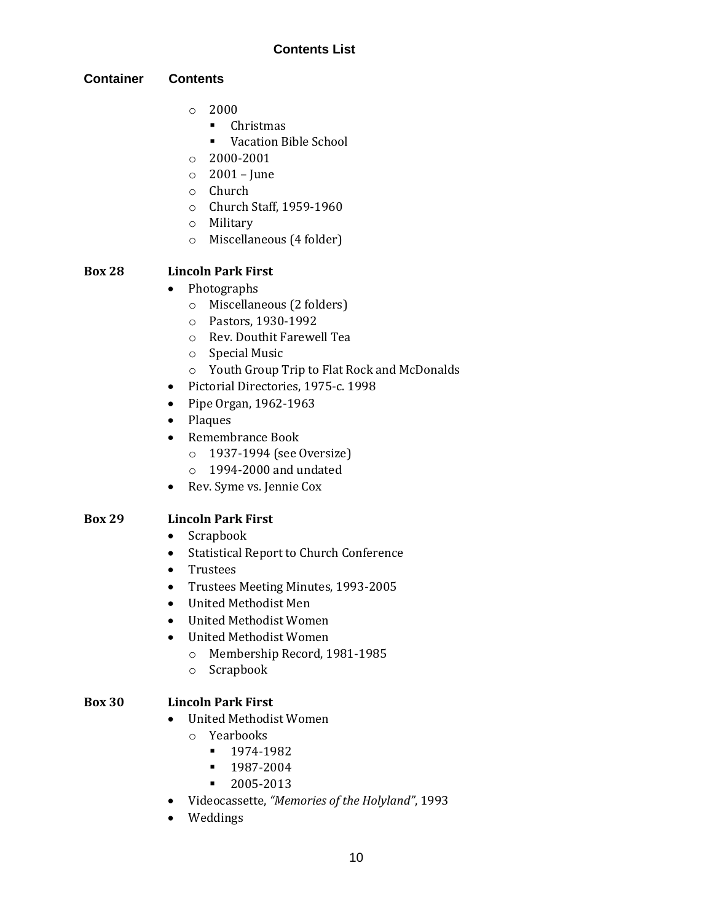#### **Container Contents**

- o 2000
	- Christmas
	- Vacation Bible School
- o 2000-2001
- o 2001 June
- o Church
- o Church Staff, 1959-1960
- o Military
- o Miscellaneous (4 folder)

#### **Box 28 Lincoln Park First**

#### • Photographs

- o Miscellaneous (2 folders)
- o Pastors, 1930-1992
- o Rev. Douthit Farewell Tea
- o Special Music
- o Youth Group Trip to Flat Rock and McDonalds
- Pictorial Directories, 1975-c. 1998
- Pipe Organ, 1962-1963
- Plaques
- Remembrance Book
	- o 1937-1994 (see Oversize)
	- o 1994-2000 and undated
- Rev. Syme vs. Jennie Cox

#### **Box 29 Lincoln Park First**

- Scrapbook
- Statistical Report to Church Conference
- Trustees
- Trustees Meeting Minutes, 1993-2005
- United Methodist Men
- United Methodist Women
- United Methodist Women
	- o Membership Record, 1981-1985
	- o Scrapbook

#### **Box 30 Lincoln Park First**

- United Methodist Women
	- o Yearbooks
		- 1974-1982
		- 1987-2004
		- 2005-2013
- Videocassette, *"Memories of the Holyland"*, 1993
- Weddings